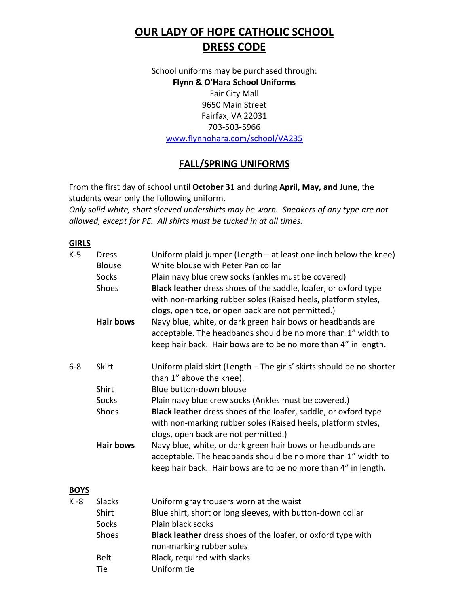# **OUR LADY OF HOPE CATHOLIC SCHOOL DRESS CODE**

School uniforms may be purchased through: **Flynn & O'Hara School Uniforms** Fair City Mall 9650 Main Street Fairfax, VA 22031 703-503-5966 [www.flynnohara.com/school/VA235](http://www.flynnohara.com/school/VA235)

# **FALL/SPRING UNIFORMS**

From the first day of school until **October 31** and during **April, May, and June**, the students wear only the following uniform.

*Only solid white, short sleeved undershirts may be worn. Sneakers of any type are not allowed, except for PE. All shirts must be tucked in at all times.*

#### **GIRLS**

| $K-5$       | <b>Dress</b><br><b>Blouse</b><br><b>Socks</b><br>Shoes | Uniform plaid jumper (Length $-$ at least one inch below the knee)<br>White blouse with Peter Pan collar<br>Plain navy blue crew socks (ankles must be covered)<br>Black leather dress shoes of the saddle, loafer, or oxford type<br>with non-marking rubber soles (Raised heels, platform styles,<br>clogs, open toe, or open back are not permitted.) |
|-------------|--------------------------------------------------------|----------------------------------------------------------------------------------------------------------------------------------------------------------------------------------------------------------------------------------------------------------------------------------------------------------------------------------------------------------|
|             | <b>Hair bows</b>                                       | Navy blue, white, or dark green hair bows or headbands are<br>acceptable. The headbands should be no more than 1" width to<br>keep hair back. Hair bows are to be no more than 4" in length.                                                                                                                                                             |
| $6 - 8$     | <b>Skirt</b>                                           | Uniform plaid skirt (Length - The girls' skirts should be no shorter<br>than 1" above the knee).                                                                                                                                                                                                                                                         |
|             | Shirt                                                  | Blue button-down blouse                                                                                                                                                                                                                                                                                                                                  |
|             | Socks                                                  | Plain navy blue crew socks (Ankles must be covered.)                                                                                                                                                                                                                                                                                                     |
|             | Shoes                                                  | Black leather dress shoes of the loafer, saddle, or oxford type<br>with non-marking rubber soles (Raised heels, platform styles,<br>clogs, open back are not permitted.)                                                                                                                                                                                 |
|             | <b>Hair bows</b>                                       | Navy blue, white, or dark green hair bows or headbands are<br>acceptable. The headbands should be no more than 1" width to<br>keep hair back. Hair bows are to be no more than 4" in length.                                                                                                                                                             |
| <b>BOYS</b> |                                                        |                                                                                                                                                                                                                                                                                                                                                          |
| K -8        | <b>Slacks</b>                                          | Uniform gray trousers worn at the waist                                                                                                                                                                                                                                                                                                                  |
|             |                                                        |                                                                                                                                                                                                                                                                                                                                                          |

| Shirt        | Blue shirt, short or long sleeves, with button-down collar          |
|--------------|---------------------------------------------------------------------|
| Socks        | Plain black socks                                                   |
| <b>Shoes</b> | <b>Black leather</b> dress shoes of the loafer, or oxford type with |
|              | non-marking rubber soles                                            |
| <b>Belt</b>  | Black, required with slacks                                         |
| Tie          | Uniform tie                                                         |
|              |                                                                     |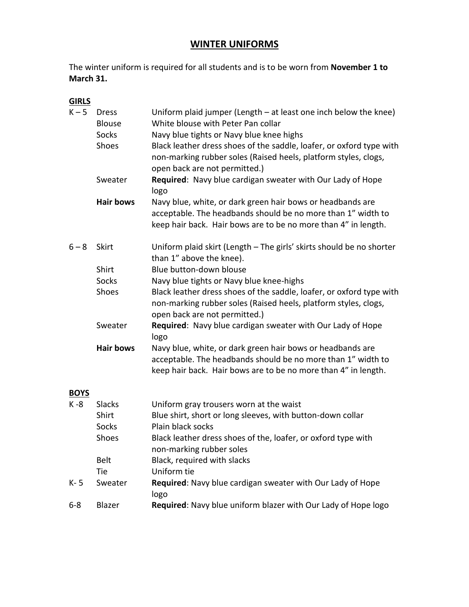## **WINTER UNIFORMS**

The winter uniform is required for all students and is to be worn from **November 1 to March 31.**

### **GIRLS**

| $K - 5$     | <b>Dress</b><br><b>Blouse</b><br>Socks | Uniform plaid jumper (Length $-$ at least one inch below the knee)<br>White blouse with Peter Pan collar<br>Navy blue tights or Navy blue knee highs                                         |
|-------------|----------------------------------------|----------------------------------------------------------------------------------------------------------------------------------------------------------------------------------------------|
|             | Shoes                                  | Black leather dress shoes of the saddle, loafer, or oxford type with<br>non-marking rubber soles (Raised heels, platform styles, clogs,<br>open back are not permitted.)                     |
|             | Sweater                                | Required: Navy blue cardigan sweater with Our Lady of Hope<br>logo                                                                                                                           |
|             | <b>Hair bows</b>                       | Navy blue, white, or dark green hair bows or headbands are<br>acceptable. The headbands should be no more than 1" width to<br>keep hair back. Hair bows are to be no more than 4" in length. |
| $6 - 8$     | Skirt                                  | Uniform plaid skirt (Length - The girls' skirts should be no shorter<br>than 1" above the knee).                                                                                             |
|             | Shirt                                  | Blue button-down blouse                                                                                                                                                                      |
|             | <b>Socks</b>                           | Navy blue tights or Navy blue knee-highs                                                                                                                                                     |
|             | Shoes                                  | Black leather dress shoes of the saddle, loafer, or oxford type with<br>non-marking rubber soles (Raised heels, platform styles, clogs,<br>open back are not permitted.)                     |
|             | Sweater                                | Required: Navy blue cardigan sweater with Our Lady of Hope<br>logo                                                                                                                           |
|             | <b>Hair bows</b>                       | Navy blue, white, or dark green hair bows or headbands are<br>acceptable. The headbands should be no more than 1" width to<br>keep hair back. Hair bows are to be no more than 4" in length. |
| <b>BOYS</b> |                                        |                                                                                                                                                                                              |
| $K - 8$     | <b>Slacks</b>                          | Uniform gray trousers worn at the waist                                                                                                                                                      |
|             | Shirt                                  | Blue shirt, short or long sleeves, with button-down collar                                                                                                                                   |
|             | <b>Socks</b>                           | Plain black socks                                                                                                                                                                            |
|             | Shoes                                  | Black leather dress shoes of the, loafer, or oxford type with<br>non-marking rubber soles                                                                                                    |
|             | <b>Belt</b>                            | Black, required with slacks                                                                                                                                                                  |
|             | Tie                                    | Uniform tie                                                                                                                                                                                  |
| $K - 5$     | Sweater                                | Required: Navy blue cardigan sweater with Our Lady of Hope<br>logo                                                                                                                           |

6-8 Blazer **Required**: Navy blue uniform blazer with Our Lady of Hope logo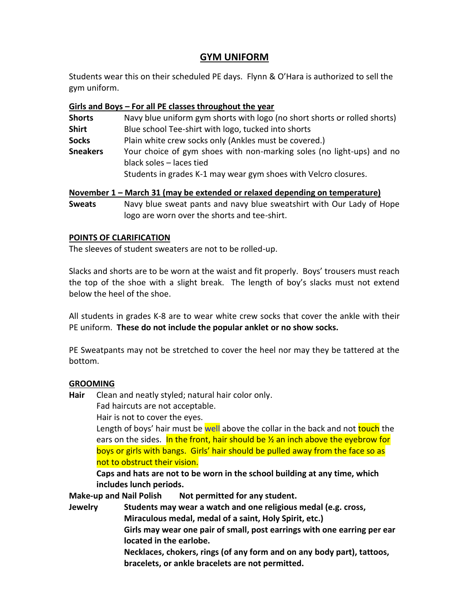### **GYM UNIFORM**

Students wear this on their scheduled PE days. Flynn & O'Hara is authorized to sell the gym uniform.

#### **Girls and Boys – For all PE classes throughout the year**

| <b>Shorts</b>   | Navy blue uniform gym shorts with logo (no short shorts or rolled shorts)                         |  |  |
|-----------------|---------------------------------------------------------------------------------------------------|--|--|
| <b>Shirt</b>    | Blue school Tee-shirt with logo, tucked into shorts                                               |  |  |
| <b>Socks</b>    | Plain white crew socks only (Ankles must be covered.)                                             |  |  |
| <b>Sneakers</b> | Your choice of gym shoes with non-marking soles (no light-ups) and no<br>black soles – laces tied |  |  |
|                 | Students in grades K-1 may wear gym shoes with Velcro closures.                                   |  |  |

#### **November 1 – March 31 (may be extended or relaxed depending on temperature)**

**Sweats** Navy blue sweat pants and navy blue sweatshirt with Our Lady of Hope logo are worn over the shorts and tee-shirt.

#### **POINTS OF CLARIFICATION**

The sleeves of student sweaters are not to be rolled-up.

Slacks and shorts are to be worn at the waist and fit properly. Boys' trousers must reach the top of the shoe with a slight break. The length of boy's slacks must not extend below the heel of the shoe.

All students in grades K-8 are to wear white crew socks that cover the ankle with their PE uniform. **These do not include the popular anklet or no show socks.**

PE Sweatpants may not be stretched to cover the heel nor may they be tattered at the bottom.

#### **GROOMING**

- **Hair** Clean and neatly styled; natural hair color only.
	- Fad haircuts are not acceptable.

Hair is not to cover the eyes.

Length of boys' hair must be well above the collar in the back and not touch the ears on the sides. In the front, hair should be  $\frac{1}{2}$  an inch above the eyebrow for boys or girls with bangs. Girls' hair should be pulled away from the face so as not to obstruct their vision.

**Caps and hats are not to be worn in the school building at any time, which includes lunch periods.**

**Make-up and Nail Polish Not permitted for any student.**

**Jewelry Students may wear a watch and one religious medal (e.g. cross,** 

**Miraculous medal, medal of a saint, Holy Spirit, etc.)**

**Girls may wear one pair of small, post earrings with one earring per ear located in the earlobe.**

**Necklaces, chokers, rings (of any form and on any body part), tattoos, bracelets, or ankle bracelets are not permitted.**